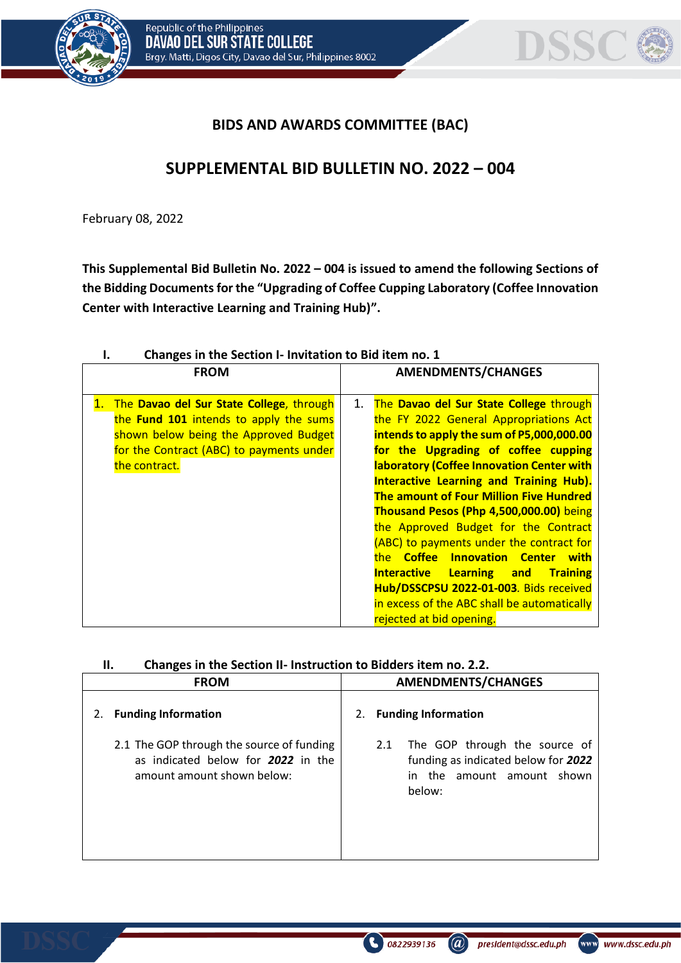

## **BIDS AND AWARDS COMMITTEE (BAC)**

# **SUPPLEMENTAL BID BULLETIN NO. 2022 – 004**

February 08, 2022

**This Supplemental Bid Bulletin No. 2022 – 004 is issued to amend the following Sections of the Bidding Documentsfor the "Upgrading of Coffee Cupping Laboratory (Coffee Innovation Center with Interactive Learning and Training Hub)".**

| Changes in the Section I- Invitation to Bid item no. 1 |                                                              |  |  |  |  |
|--------------------------------------------------------|--------------------------------------------------------------|--|--|--|--|
| <b>FROM</b>                                            | <b>AMENDMENTS/CHANGES</b>                                    |  |  |  |  |
|                                                        |                                                              |  |  |  |  |
| The Davao del Sur State College, through               | The Davao del Sur State College through<br>1.                |  |  |  |  |
| the Fund 101 intends to apply the sums                 | the FY 2022 General Appropriations Act                       |  |  |  |  |
| shown below being the Approved Budget                  | intends to apply the sum of P5,000,000.00                    |  |  |  |  |
| for the Contract (ABC) to payments under               | for the Upgrading of coffee cupping                          |  |  |  |  |
| the contract.                                          | laboratory (Coffee Innovation Center with                    |  |  |  |  |
|                                                        | <b>Interactive Learning and Training Hub).</b>               |  |  |  |  |
|                                                        | <b>The amount of Four Million Five Hundred</b>               |  |  |  |  |
|                                                        | Thousand Pesos (Php 4,500,000.00) being                      |  |  |  |  |
|                                                        | the Approved Budget for the Contract                         |  |  |  |  |
|                                                        | (ABC) to payments under the contract for                     |  |  |  |  |
|                                                        | the Coffee Innovation Center<br><b>with</b>                  |  |  |  |  |
|                                                        | <b>Interactive Learning</b><br><b>and</b><br><b>Training</b> |  |  |  |  |
|                                                        | Hub/DSSCPSU 2022-01-003. Bids received                       |  |  |  |  |
|                                                        | in excess of the ABC shall be automatically                  |  |  |  |  |
|                                                        | rejected at bid opening.                                     |  |  |  |  |

| <br>Changes in the section in mistraction to bidders rient no. 2.2.                                           |                                                                                                                     |  |  |  |  |
|---------------------------------------------------------------------------------------------------------------|---------------------------------------------------------------------------------------------------------------------|--|--|--|--|
| <b>FROM</b>                                                                                                   | <b>AMENDMENTS/CHANGES</b>                                                                                           |  |  |  |  |
| <b>Funding Information</b>                                                                                    | <b>Funding Information</b><br>2.                                                                                    |  |  |  |  |
| 2.1 The GOP through the source of funding<br>as indicated below for 2022 in the<br>amount amount shown below: | The GOP through the source of<br>2.1<br>funding as indicated below for 2022<br>in the amount amount shown<br>below: |  |  |  |  |

## **II. Changes in the Section II- Instruction to Bidders item no. 2.2.**

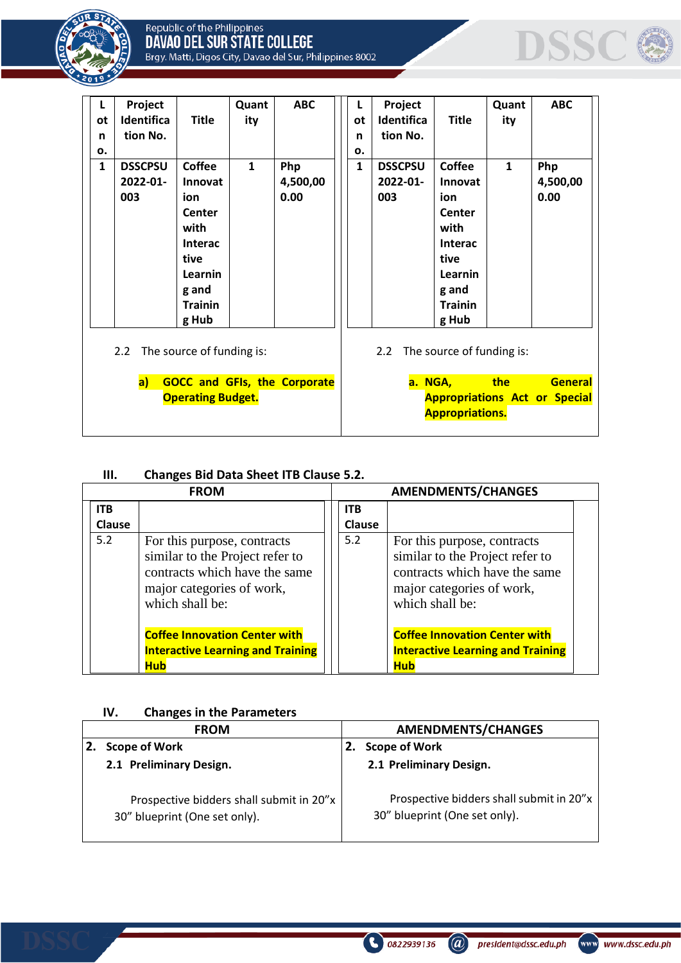



| L<br>0t<br>n<br>о.<br>$\mathbf{1}$ | Project<br><b>Identifica</b><br>tion No.<br><b>DSSCPSU</b><br>2022-01-<br>003                          | <b>Title</b><br><b>Coffee</b><br>Innovat<br>ion<br>Center                     | Quant<br>ity<br>$\mathbf{1}$ | <b>ABC</b><br>Php<br>4,500,00<br>0.00 |  | L<br>0t<br>n<br>ο.<br>$\mathbf{1}$ | Project<br><b>Identifica</b><br>tion No.<br><b>DSSCPSU</b><br>2022-01-<br>003 | <b>Title</b><br><b>Coffee</b><br>Innovat<br>ion<br>Center              | Quant<br>ity<br>$\mathbf{1}$ | <b>ABC</b><br>Php<br>4,500,00<br>0.00                  |
|------------------------------------|--------------------------------------------------------------------------------------------------------|-------------------------------------------------------------------------------|------------------------------|---------------------------------------|--|------------------------------------|-------------------------------------------------------------------------------|------------------------------------------------------------------------|------------------------------|--------------------------------------------------------|
|                                    |                                                                                                        | with<br><b>Interac</b><br>tive<br>Learnin<br>g and<br><b>Trainin</b><br>g Hub |                              |                                       |  |                                    |                                                                               | with<br>Interac<br>tive<br>Learnin<br>g and<br><b>Trainin</b><br>g Hub |                              |                                                        |
|                                    | 2.2 The source of funding is:<br>a)<br><b>GOCC and GFIs, the Corporate</b><br><b>Operating Budget.</b> |                                                                               |                              |                                       |  |                                    | 2.2 The source of funding is:<br>a. NGA,                                      | <b>Appropriations.</b>                                                 | the                          | <b>General</b><br><b>Appropriations Act or Special</b> |

## **III. Changes Bid Data Sheet ITB Clause 5.2.**

|                      | <b>FROM</b>                                                                                                                                     | <b>AMENDMENTS/CHANGES</b>   |                                                                                                                                                 |  |  |
|----------------------|-------------------------------------------------------------------------------------------------------------------------------------------------|-----------------------------|-------------------------------------------------------------------------------------------------------------------------------------------------|--|--|
| <b>ITB</b><br>Clause |                                                                                                                                                 | <b>ITB</b><br><b>Clause</b> |                                                                                                                                                 |  |  |
| 5.2                  | For this purpose, contracts<br>similar to the Project refer to<br>contracts which have the same<br>major categories of work,<br>which shall be: | 5.2                         | For this purpose, contracts<br>similar to the Project refer to<br>contracts which have the same<br>major categories of work,<br>which shall be: |  |  |
|                      | <b>Coffee Innovation Center with</b>                                                                                                            |                             | <b>Coffee Innovation Center with</b>                                                                                                            |  |  |
|                      | <b>Interactive Learning and Training</b>                                                                                                        |                             | <b>Interactive Learning and Training</b>                                                                                                        |  |  |
|                      | <b>Hub</b>                                                                                                                                      |                             | <b>Hub</b>                                                                                                                                      |  |  |

## **IV. Changes in the Parameters**

|      | <b>FROM</b>                                                               | <b>AMENDMENTS/CHANGES</b>                                                 |  |  |  |
|------|---------------------------------------------------------------------------|---------------------------------------------------------------------------|--|--|--|
| l 2. | <b>Scope of Work</b>                                                      | <b>Scope of Work</b>                                                      |  |  |  |
|      | 2.1 Preliminary Design.                                                   | 2.1 Preliminary Design.                                                   |  |  |  |
|      | Prospective bidders shall submit in 20"x<br>30" blueprint (One set only). | Prospective bidders shall submit in 20"x<br>30" blueprint (One set only). |  |  |  |

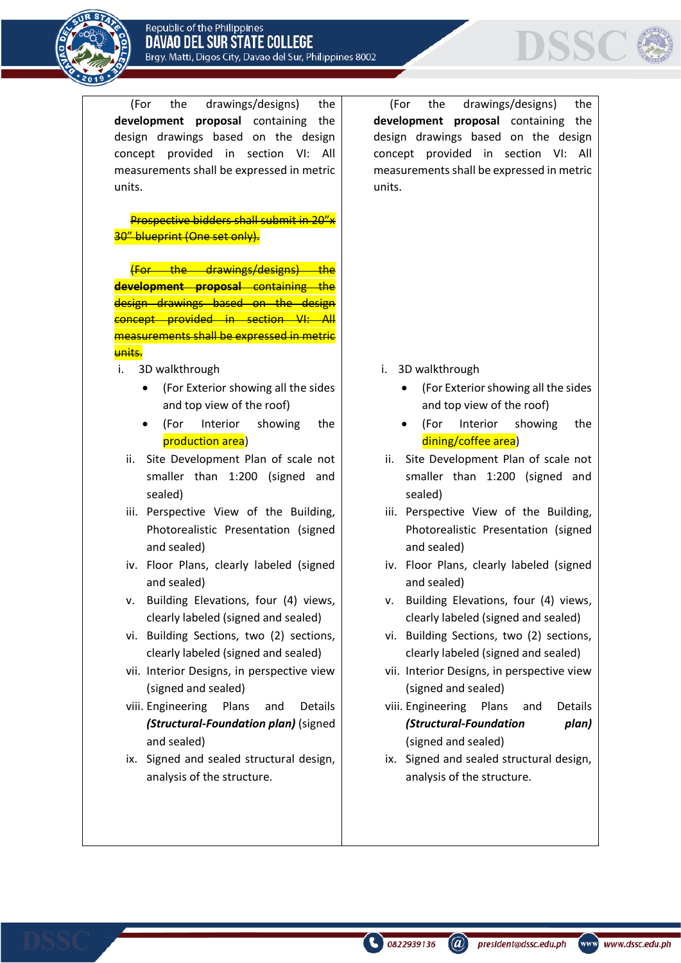



(For the drawings/designs) the **development proposal** containing the design drawings based on the design concept provided in section VI: All measurements shall be expressed in metric units.

Prospective bidders shall submit in 20 <mark>30" blueprint (One set only).</mark>

the drawings/designs) **development proposal** containing the design drawings based on the design concept provided in section VI: All measurements shall be expressed in metric units.

- i. 3D walkthrough
	- (For Exterior showing all the sides and top view of the roof)
	- (For Interior showing the production area)
	- ii. Site Development Plan of scale not smaller than 1:200 (signed and sealed)
	- iii. Perspective View of the Building, Photorealistic Presentation (signed and sealed)
	- iv. Floor Plans, clearly labeled (signed and sealed)
	- v. Building Elevations, four (4) views, clearly labeled (signed and sealed)
	- vi. Building Sections, two (2) sections, clearly labeled (signed and sealed)
	- vii. Interior Designs, in perspective view (signed and sealed)
	- viii. Engineering Plans and Details *(Structural-Foundation plan)* (signed and sealed)
	- ix. Signed and sealed structural design, analysis of the structure.

(For the drawings/designs) the **development proposal** containing the design drawings based on the design concept provided in section VI: All measurements shall be expressed in metric units.

- i. 3D walkthrough
	- (For Exterior showing all the sides and top view of the roof)
	- (For Interior showing the dining/coffee area)
- ii. Site Development Plan of scale not smaller than 1:200 (signed and sealed)
- iii. Perspective View of the Building, Photorealistic Presentation (signed and sealed)
- iv. Floor Plans, clearly labeled (signed and sealed)
- v. Building Elevations, four (4) views, clearly labeled (signed and sealed)
- vi. Building Sections, two (2) sections, clearly labeled (signed and sealed)
- vii. Interior Designs, in perspective view (signed and sealed)
- viii. Engineering Plans and Details *(Structural-Foundation plan)*  (signed and sealed)
- ix. Signed and sealed structural design, analysis of the structure.

president@dssc.edu.ph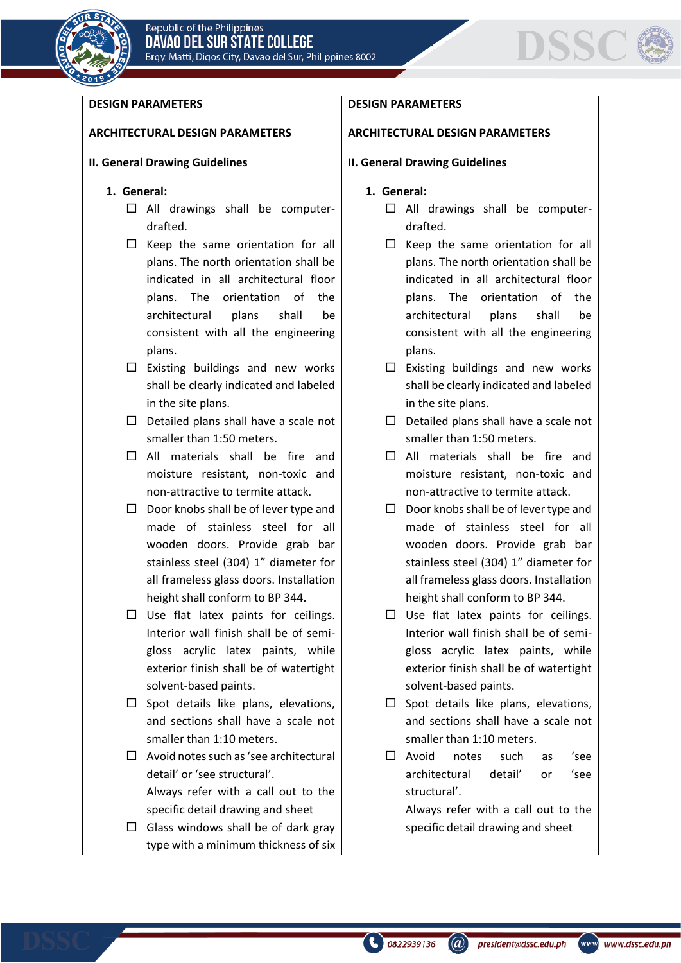



#### **DESIGN PARAMETERS**

#### **ARCHITECTURAL DESIGN PARAMETERS**

#### **II. General Drawing Guidelines**

#### **1. General:**

- $\Box$  All drawings shall be computerdrafted.
- $\square$  Keep the same orientation for all plans. The north orientation shall be indicated in all architectural floor plans. The orientation of the architectural plans shall be consistent with all the engineering plans.
- $\square$  Existing buildings and new works shall be clearly indicated and labeled in the site plans.
- $\Box$  Detailed plans shall have a scale not smaller than 1:50 meters.
- □ All materials shall be fire and moisture resistant, non-toxic and non-attractive to termite attack.
- $\Box$  Door knobs shall be of lever type and made of stainless steel for all wooden doors. Provide grab bar stainless steel (304) 1" diameter for all frameless glass doors. Installation height shall conform to BP 344.
- $\square$  Use flat latex paints for ceilings. Interior wall finish shall be of semigloss acrylic latex paints, while exterior finish shall be of watertight solvent-based paints.
- $\square$  Spot details like plans, elevations, and sections shall have a scale not smaller than 1:10 meters.
- $\Box$  Avoid notes such as 'see architectural detail' or 'see structural'. Always refer with a call out to the
	- specific detail drawing and sheet
- $\Box$  Glass windows shall be of dark gray type with a minimum thickness of six

#### **DESIGN PARAMETERS**

## **ARCHITECTURAL DESIGN PARAMETERS**

#### **II. General Drawing Guidelines**

- **1. General:** 
	- $\Box$  All drawings shall be computerdrafted.
	- $\Box$  Keep the same orientation for all plans. The north orientation shall be indicated in all architectural floor plans. The orientation of the architectural plans shall be consistent with all the engineering plans.
	- $\square$  Existing buildings and new works shall be clearly indicated and labeled in the site plans.
	- $\Box$  Detailed plans shall have a scale not smaller than 1:50 meters.
	- $\Box$  All materials shall be fire and moisture resistant, non-toxic and non-attractive to termite attack.
	- $\Box$  Door knobs shall be of lever type and made of stainless steel for all wooden doors. Provide grab bar stainless steel (304) 1" diameter for all frameless glass doors. Installation height shall conform to BP 344.
	- $\Box$  Use flat latex paints for ceilings. Interior wall finish shall be of semigloss acrylic latex paints, while exterior finish shall be of watertight solvent-based paints.
	- $\square$  Spot details like plans, elevations, and sections shall have a scale not smaller than 1:10 meters.
	- □ Avoid notes such as 'see architectural detail' or 'see structural'.

Always refer with a call out to the specific detail drawing and sheet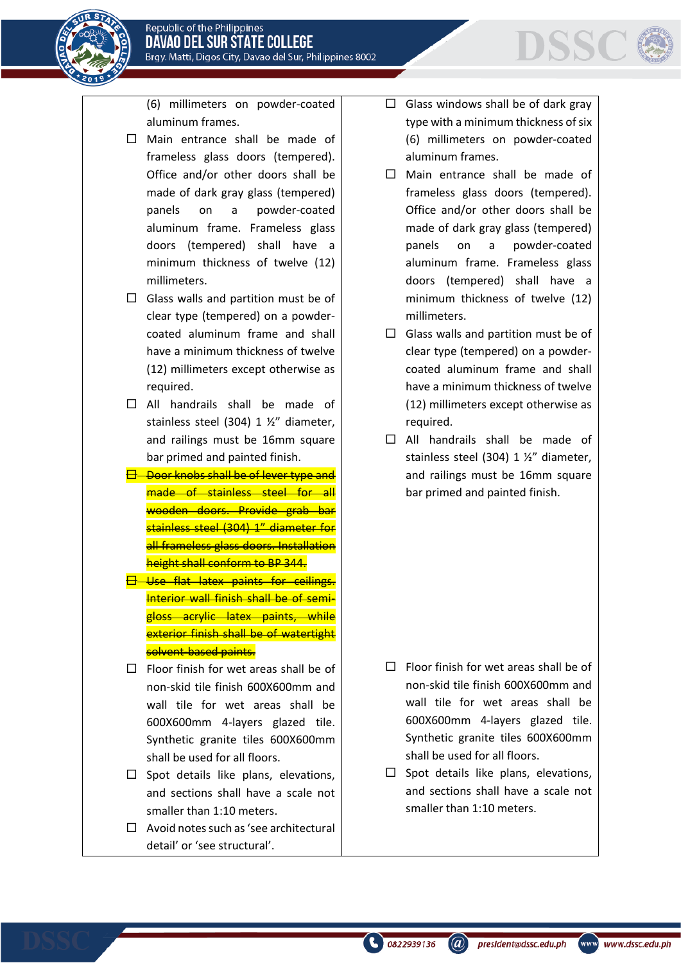



(6) millimeters on powder-coated aluminum frames.

- $\Box$  Main entrance shall be made of frameless glass doors (tempered). Office and/or other doors shall be made of dark gray glass (tempered) panels on a powder-coated aluminum frame. Frameless glass doors (tempered) shall have a minimum thickness of twelve (12) millimeters.
- $\Box$  Glass walls and partition must be of clear type (tempered) on a powdercoated aluminum frame and shall have a minimum thickness of twelve (12) millimeters except otherwise as required.
- $\Box$  All handrails shall be made of stainless steel (304) 1 ½" diameter, and railings must be 16mm square bar primed and painted finish.
- **Door knobs shall be of lever type and** made of stainless steel for all wooden doors. Provide grab bar stainless steel (304) 1" diameter for all frameless glass doors. Installation height shall conform to BP 344.
- Use flat latex paints for ceilings. Interior wall finish shall be of semi-<mark>gloss acrylic latex paints, while</mark> exterior finish shall be of watertight solvent-based paints.
- $\Box$  Floor finish for wet areas shall be of non-skid tile finish 600X600mm and wall tile for wet areas shall be 600X600mm 4-layers glazed tile. Synthetic granite tiles 600X600mm shall be used for all floors.
- $\square$  Spot details like plans, elevations, and sections shall have a scale not smaller than 1:10 meters.
- $\Box$  Avoid notes such as 'see architectural detail' or 'see structural'.
- $\Box$  Glass windows shall be of dark gray type with a minimum thickness of six (6) millimeters on powder-coated aluminum frames.
- $\Box$  Main entrance shall be made of frameless glass doors (tempered). Office and/or other doors shall be made of dark gray glass (tempered) panels on a powder-coated aluminum frame. Frameless glass doors (tempered) shall have a minimum thickness of twelve (12) millimeters.
- $\Box$  Glass walls and partition must be of clear type (tempered) on a powdercoated aluminum frame and shall have a minimum thickness of twelve (12) millimeters except otherwise as required.
- $\Box$  All handrails shall be made of stainless steel (304) 1 ½" diameter, and railings must be 16mm square bar primed and painted finish.

- $\Box$  Floor finish for wet areas shall be of non-skid tile finish 600X600mm and wall tile for wet areas shall be 600X600mm 4-layers glazed tile. Synthetic granite tiles 600X600mm shall be used for all floors.
- $\square$  Spot details like plans, elevations, and sections shall have a scale not smaller than 1:10 meters.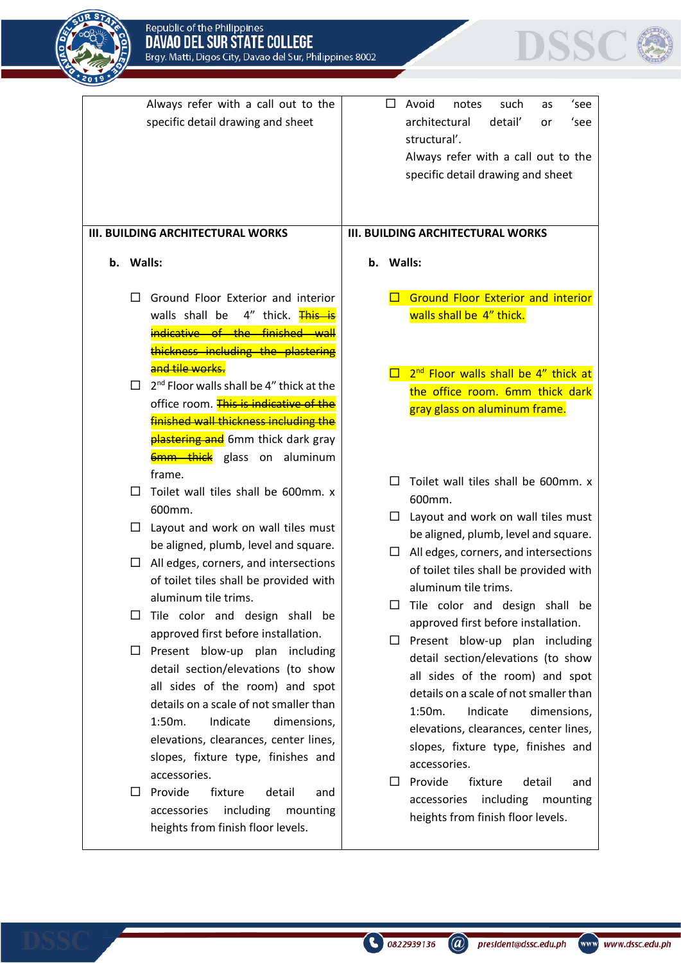



| Always refer with a call out to the<br>specific detail drawing and sheet |           |                                                                                                                                                                                                                                                                                       |                                          | Avoid<br>such<br>notes<br>'see<br>ப<br>as<br>architectural<br>detail'<br>'see<br>or<br>structural'.<br>Always refer with a call out to the<br>specific detail drawing and sheet |                                                                                                                                                                                                                                                                                       |  |  |  |  |  |
|--------------------------------------------------------------------------|-----------|---------------------------------------------------------------------------------------------------------------------------------------------------------------------------------------------------------------------------------------------------------------------------------------|------------------------------------------|---------------------------------------------------------------------------------------------------------------------------------------------------------------------------------|---------------------------------------------------------------------------------------------------------------------------------------------------------------------------------------------------------------------------------------------------------------------------------------|--|--|--|--|--|
| <b>III. BUILDING ARCHITECTURAL WORKS</b>                                 |           |                                                                                                                                                                                                                                                                                       | <b>III. BUILDING ARCHITECTURAL WORKS</b> |                                                                                                                                                                                 |                                                                                                                                                                                                                                                                                       |  |  |  |  |  |
|                                                                          | b. Walls: |                                                                                                                                                                                                                                                                                       |                                          | Walls:<br>b.                                                                                                                                                                    |                                                                                                                                                                                                                                                                                       |  |  |  |  |  |
|                                                                          | $\perp$   | Ground Floor Exterior and interior<br>4" thick. This is<br>walls shall be<br>indicative of the finished wall<br>thickness including the plastering<br>and tile works.                                                                                                                 |                                          |                                                                                                                                                                                 | <b>Ground Floor Exterior and interior</b><br>walls shall be 4" thick.                                                                                                                                                                                                                 |  |  |  |  |  |
|                                                                          | $\Box$    | 2 <sup>nd</sup> Floor walls shall be 4" thick at the<br>office room. This is indicative of the<br>finished wall thickness including the<br><b>plastering and</b> 6mm thick dark gray<br>6mm thick glass on aluminum                                                                   |                                          |                                                                                                                                                                                 | 2 <sup>nd</sup> Floor walls shall be 4" thick at<br>the office room. 6mm thick dark<br>gray glass on aluminum frame.                                                                                                                                                                  |  |  |  |  |  |
|                                                                          | П         | frame.<br>Toilet wall tiles shall be 600mm. x<br>600mm.                                                                                                                                                                                                                               |                                          | П                                                                                                                                                                               | Toilet wall tiles shall be 600mm. x<br>600mm.                                                                                                                                                                                                                                         |  |  |  |  |  |
|                                                                          | ப         | Layout and work on wall tiles must<br>be aligned, plumb, level and square.                                                                                                                                                                                                            |                                          | $\Box$                                                                                                                                                                          | Layout and work on wall tiles must<br>be aligned, plumb, level and square.                                                                                                                                                                                                            |  |  |  |  |  |
|                                                                          | ப         | All edges, corners, and intersections<br>of toilet tiles shall be provided with<br>aluminum tile trims.                                                                                                                                                                               |                                          | ப                                                                                                                                                                               | All edges, corners, and intersections<br>of toilet tiles shall be provided with<br>aluminum tile trims.                                                                                                                                                                               |  |  |  |  |  |
|                                                                          | ப         | Tile color and design shall be<br>approved first before installation.                                                                                                                                                                                                                 |                                          |                                                                                                                                                                                 | Tile color and design shall be<br>approved first before installation.                                                                                                                                                                                                                 |  |  |  |  |  |
|                                                                          | ப         | Present blow-up plan including<br>detail section/elevations (to show<br>all sides of the room) and spot<br>details on a scale of not smaller than<br>1:50m.<br>Indicate<br>dimensions,<br>elevations, clearances, center lines,<br>slopes, fixture type, finishes and<br>accessories. |                                          | □                                                                                                                                                                               | Present blow-up plan including<br>detail section/elevations (to show<br>all sides of the room) and spot<br>details on a scale of not smaller than<br>1:50m.<br>Indicate<br>dimensions,<br>elevations, clearances, center lines,<br>slopes, fixture type, finishes and<br>accessories. |  |  |  |  |  |
|                                                                          | ப         | Provide<br>fixture<br>detail<br>and<br>including<br>accessories<br>mounting<br>heights from finish floor levels.                                                                                                                                                                      |                                          | $\Box$                                                                                                                                                                          | Provide<br>fixture<br>detail<br>and<br>including<br>accessories<br>mounting<br>heights from finish floor levels.                                                                                                                                                                      |  |  |  |  |  |